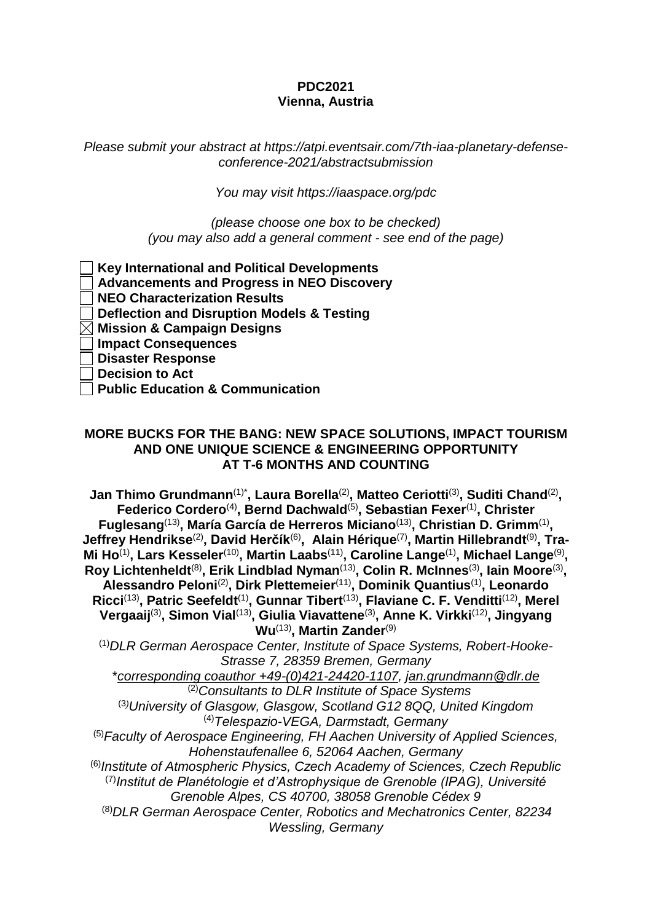## **PDC2021 Vienna, Austria**

*Please submit your abstract at https://atpi.eventsair.com/7th-iaa-planetary-defenseconference-2021/abstractsubmission*

*You may visit https://iaaspace.org/pdc*

*(please choose one box to be checked) (you may also add a general comment - see end of the page)*

**Key International and Political Developments Advancements and Progress in NEO Discovery NEO Characterization Results Deflection and Disruption Models & Testing Mission & Campaign Designs Impact Consequences Disaster Response Decision to Act Public Education & Communication**

## **MORE BUCKS FOR THE BANG: NEW SPACE SOLUTIONS, IMPACT TOURISM AND ONE UNIQUE SCIENCE & ENGINEERING OPPORTUNITY AT T-6 MONTHS AND COUNTING**

**Jan Thimo Grundmann**(1)\* **, Laura Borella**(2) **, Matteo Ceriotti**(3) **, Suditi Chand**(2) **, Federico Cordero**(4) **, Bernd Dachwald**(5) **, Sebastian Fexer**(1) **, Christer** Fuglesang<sup>(13)</sup>, María García de Herreros Miciano<sup>(13)</sup>, Christian D. Grimm<sup>(1)</sup>, **Jeffrey Hendrikse**(2)**, David Herčík**(6)**, Alain Hérique**(7) **, Martin Hillebrandt**(9) **, Tra-**Mi Ho<sup>(1)</sup>, Lars Kesseler<sup>(10)</sup>, Martin Laabs<sup>(11)</sup>, Caroline Lange<sup>(1)</sup>, Michael Lange<sup>(9)</sup>, **Roy Lichtenheldt**(8) **, Erik Lindblad Nyman**(13) **, Colin R. McInnes**(3)**, Iain Moore**(3) **, Alessandro Peloni**(2) **, Dirk Plettemeier**(11)**, Dominik Quantius**(1) **, Leonardo Ricci**(13) **, Patric Seefeldt**(1) **, Gunnar Tibert**(13) **, Flaviane C. F. Venditti**(12) **, Merel Vergaaij**(3) **, Simon Vial**(13) **, Giulia Viavattene**(3) **, Anne K. Virkki**(12) **, Jingyang Wu**(13) **, Martin Zander**(9)

(1)*DLR German Aerospace Center, Institute of Space Systems, Robert-Hooke-Strasse 7, 28359 Bremen, Germany*

\**corresponding coauthor +49-(0)421-24420-1107, jan.grundmann@dlr.de* (2)*Consultants to DLR Institute of Space Systems*

(3*)University of Glasgow, Glasgow, Scotland G12 8QQ, United Kingdom* (4)*Telespazio-VEGA, Darmstadt, Germany*

(5)*Faculty of Aerospace Engineering, FH Aachen University of Applied Sciences, Hohenstaufenallee 6, 52064 Aachen, Germany*

(6)*Institute of Atmospheric Physics, Czech Academy of Sciences, Czech Republic* (7)*Institut de Planétologie et d'Astrophysique de Grenoble (IPAG), Université Grenoble Alpes, CS 40700, 38058 Grenoble Cédex 9*

(8)*DLR German Aerospace Center, Robotics and Mechatronics Center, 82234 Wessling, Germany*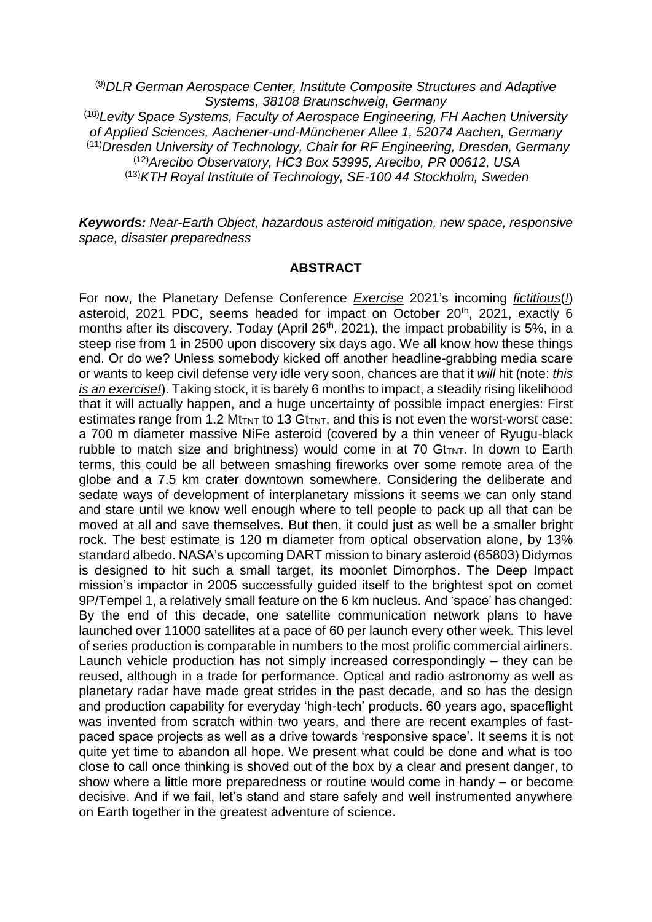(9)*DLR German Aerospace Center, Institute Composite Structures and Adaptive Systems, 38108 Braunschweig, Germany* (10)*Levity Space Systems, Faculty of Aerospace Engineering, FH Aachen University of Applied Sciences, Aachener-und-Münchener Allee 1, 52074 Aachen, Germany* (11)*Dresden University of Technology, Chair for RF Engineering, Dresden, Germany* (12)*Arecibo Observatory, HC3 Box 53995, Arecibo, PR 00612, USA* (13)*KTH Royal Institute of Technology, SE-100 44 Stockholm, Sweden*

*Keywords: Near-Earth Object, hazardous asteroid mitigation, new space, responsive space, disaster preparedness*

## **ABSTRACT**

For now, the Planetary Defense Conference *Exercise* 2021's incoming *fictitious*(*!*) asteroid, 2021 PDC, seems headed for impact on October  $20<sup>th</sup>$ , 2021, exactly 6 months after its discovery. Today (April 26<sup>th</sup>, 2021), the impact probability is 5%, in a steep rise from 1 in 2500 upon discovery six days ago. We all know how these things end. Or do we? Unless somebody kicked off another headline-grabbing media scare or wants to keep civil defense very idle very soon, chances are that it *will* hit (note: *this is an exercise!*). Taking stock, it is barely 6 months to impact, a steadily rising likelihood that it will actually happen, and a huge uncertainty of possible impact energies: First estimates range from 1.2 Mt<sub>TNT</sub> to 13 Gt<sub>TNT</sub>, and this is not even the worst-worst case: a 700 m diameter massive NiFe asteroid (covered by a thin veneer of Ryugu-black rubble to match size and brightness) would come in at 70  $G$ t<sub>TNT</sub>. In down to Earth terms, this could be all between smashing fireworks over some remote area of the globe and a 7.5 km crater downtown somewhere. Considering the deliberate and sedate ways of development of interplanetary missions it seems we can only stand and stare until we know well enough where to tell people to pack up all that can be moved at all and save themselves. But then, it could just as well be a smaller bright rock. The best estimate is 120 m diameter from optical observation alone, by 13% standard albedo. NASA's upcoming DART mission to binary asteroid (65803) Didymos is designed to hit such a small target, its moonlet Dimorphos. The Deep Impact mission's impactor in 2005 successfully guided itself to the brightest spot on comet 9P/Tempel 1, a relatively small feature on the 6 km nucleus. And 'space' has changed: By the end of this decade, one satellite communication network plans to have launched over 11000 satellites at a pace of 60 per launch every other week. This level of series production is comparable in numbers to the most prolific commercial airliners. Launch vehicle production has not simply increased correspondingly – they can be reused, although in a trade for performance. Optical and radio astronomy as well as planetary radar have made great strides in the past decade, and so has the design and production capability for everyday 'high-tech' products. 60 years ago, spaceflight was invented from scratch within two years, and there are recent examples of fastpaced space projects as well as a drive towards 'responsive space'. It seems it is not quite yet time to abandon all hope. We present what could be done and what is too close to call once thinking is shoved out of the box by a clear and present danger, to show where a little more preparedness or routine would come in handy – or become decisive. And if we fail, let's stand and stare safely and well instrumented anywhere on Earth together in the greatest adventure of science.